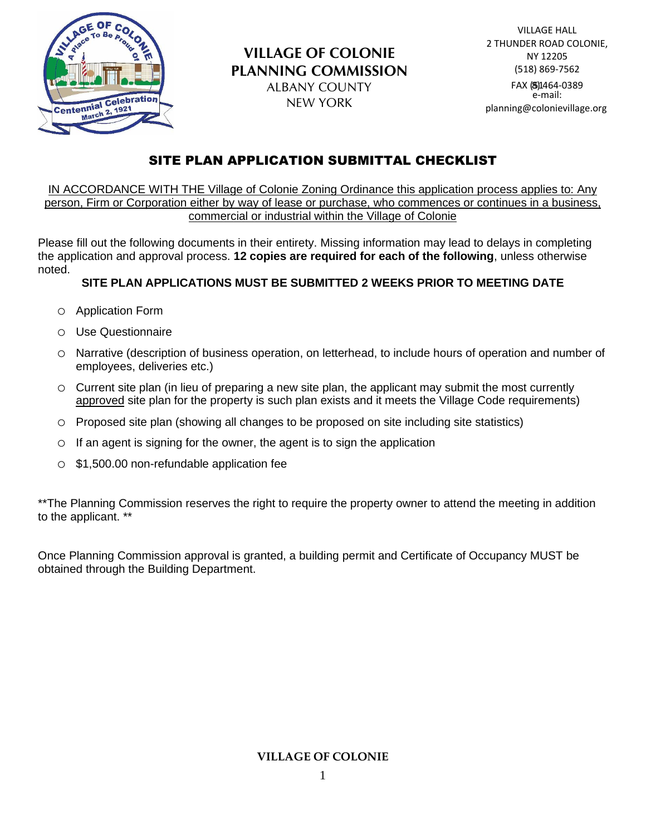

# SITE PLAN APPLICATION SUBMITTAL CHECKLIST

IN ACCORDANCE WITH THE Village of Colonie Zoning Ordinance this application process applies to: Any person, Firm or Corporation either by way of lease or purchase, who commences or continues in a business, commercial or industrial within the Village of Colonie

Please fill out the following documents in their entirety. Missing information may lead to delays in completing the application and approval process. **12 copies are required for each of the following**, unless otherwise noted.

# **SITE PLAN APPLICATIONS MUST BE SUBMITTED 2 WEEKS PRIOR TO MEETING DATE**

- o Application Form
- o Use Questionnaire
- o Narrative (description of business operation, on letterhead, to include hours of operation and number of employees, deliveries etc.)
- o Current site plan (in lieu of preparing a new site plan, the applicant may submit the most currently approved site plan for the property is such plan exists and it meets the Village Code requirements)
- o Proposed site plan (showing all changes to be proposed on site including site statistics)
- $\circ$  If an agent is signing for the owner, the agent is to sign the application
- o \$1,500.00 non-refundable application fee

\*\*The Planning Commission reserves the right to require the property owner to attend the meeting in addition to the applicant. \*\*

Once Planning Commission approval is granted, a building permit and Certificate of Occupancy MUST be obtained through the Building Department.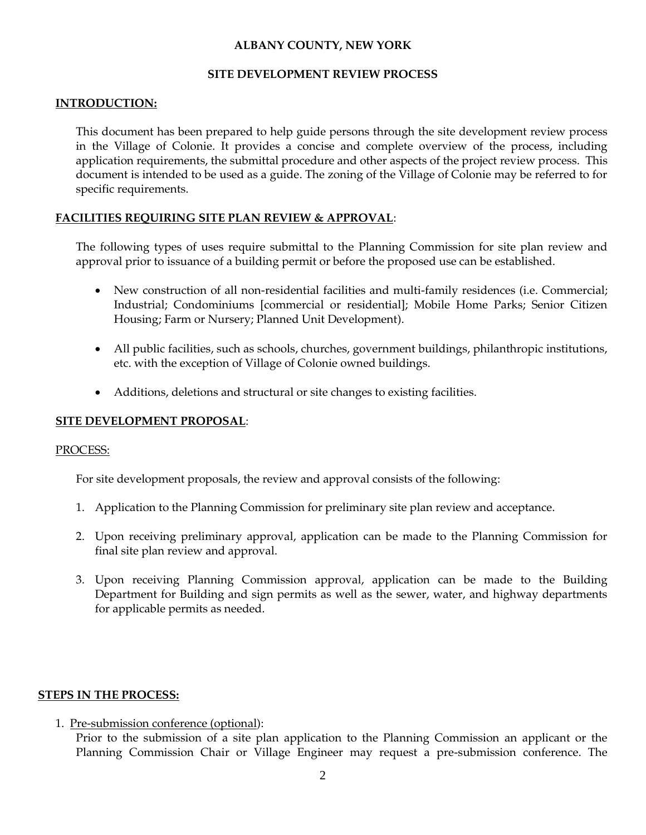#### **ALBANY COUNTY, NEW YORK**

#### **SITE DEVELOPMENT REVIEW PROCESS**

#### **INTRODUCTION:**

This document has been prepared to help guide persons through the site development review process in the Village of Colonie. It provides a concise and complete overview of the process, including application requirements, the submittal procedure and other aspects of the project review process. This document is intended to be used as a guide. The zoning of the Village of Colonie may be referred to for specific requirements.

#### **FACILITIES REQUIRING SITE PLAN REVIEW & APPROVAL**:

The following types of uses require submittal to the Planning Commission for site plan review and approval prior to issuance of a building permit or before the proposed use can be established.

- New construction of all non-residential facilities and multi-family residences (i.e. Commercial; Industrial; Condominiums [commercial or residential]; Mobile Home Parks; Senior Citizen Housing; Farm or Nursery; Planned Unit Development).
- All public facilities, such as schools, churches, government buildings, philanthropic institutions, etc. with the exception of Village of Colonie owned buildings.
- Additions, deletions and structural or site changes to existing facilities.

#### **SITE DEVELOPMENT PROPOSAL**:

#### PROCESS:

For site development proposals, the review and approval consists of the following:

- 1. Application to the Planning Commission for preliminary site plan review and acceptance.
- 2. Upon receiving preliminary approval, application can be made to the Planning Commission for final site plan review and approval.
- 3. Upon receiving Planning Commission approval, application can be made to the Building Department for Building and sign permits as well as the sewer, water, and highway departments for applicable permits as needed.

#### **STEPS IN THE PROCESS:**

1. Pre-submission conference (optional):

Prior to the submission of a site plan application to the Planning Commission an applicant or the Planning Commission Chair or Village Engineer may request a pre-submission conference. The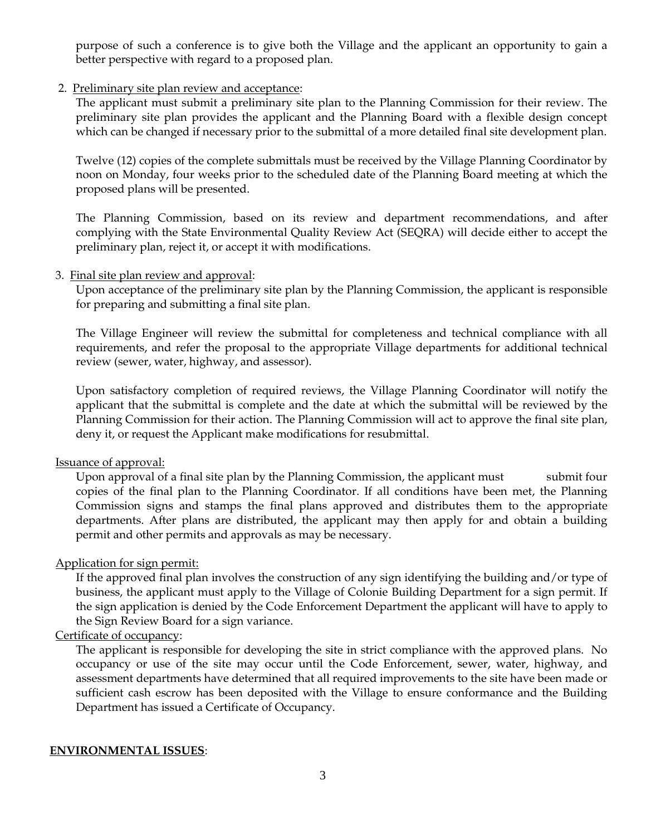purpose of such a conference is to give both the Village and the applicant an opportunity to gain a better perspective with regard to a proposed plan.

#### 2. Preliminary site plan review and acceptance:

The applicant must submit a preliminary site plan to the Planning Commission for their review. The preliminary site plan provides the applicant and the Planning Board with a flexible design concept which can be changed if necessary prior to the submittal of a more detailed final site development plan.

Twelve (12) copies of the complete submittals must be received by the Village Planning Coordinator by noon on Monday, four weeks prior to the scheduled date of the Planning Board meeting at which the proposed plans will be presented.

The Planning Commission, based on its review and department recommendations, and after complying with the State Environmental Quality Review Act (SEQRA) will decide either to accept the preliminary plan, reject it, or accept it with modifications.

#### 3. Final site plan review and approval:

Upon acceptance of the preliminary site plan by the Planning Commission, the applicant is responsible for preparing and submitting a final site plan.

The Village Engineer will review the submittal for completeness and technical compliance with all requirements, and refer the proposal to the appropriate Village departments for additional technical review (sewer, water, highway, and assessor).

Upon satisfactory completion of required reviews, the Village Planning Coordinator will notify the applicant that the submittal is complete and the date at which the submittal will be reviewed by the Planning Commission for their action. The Planning Commission will act to approve the final site plan, deny it, or request the Applicant make modifications for resubmittal.

#### Issuance of approval:

Upon approval of a final site plan by the Planning Commission, the applicant must submit four copies of the final plan to the Planning Coordinator. If all conditions have been met, the Planning Commission signs and stamps the final plans approved and distributes them to the appropriate departments. After plans are distributed, the applicant may then apply for and obtain a building permit and other permits and approvals as may be necessary.

#### Application for sign permit:

If the approved final plan involves the construction of any sign identifying the building and/or type of business, the applicant must apply to the Village of Colonie Building Department for a sign permit. If the sign application is denied by the Code Enforcement Department the applicant will have to apply to the Sign Review Board for a sign variance.

#### Certificate of occupancy:

The applicant is responsible for developing the site in strict compliance with the approved plans. No occupancy or use of the site may occur until the Code Enforcement, sewer, water, highway, and assessment departments have determined that all required improvements to the site have been made or sufficient cash escrow has been deposited with the Village to ensure conformance and the Building Department has issued a Certificate of Occupancy.

#### **ENVIRONMENTAL ISSUES**: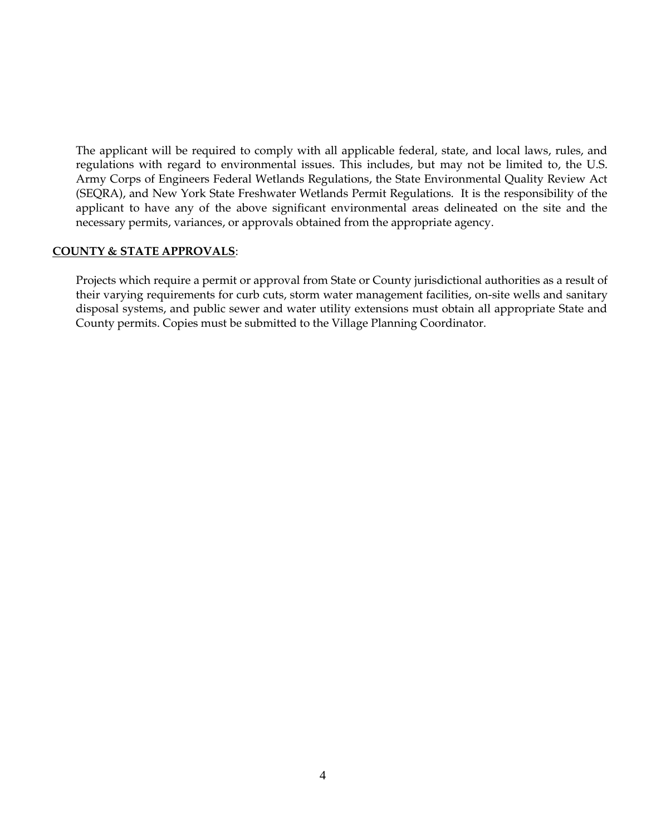The applicant will be required to comply with all applicable federal, state, and local laws, rules, and regulations with regard to environmental issues. This includes, but may not be limited to, the U.S. Army Corps of Engineers Federal Wetlands Regulations, the State Environmental Quality Review Act (SEQRA), and New York State Freshwater Wetlands Permit Regulations. It is the responsibility of the applicant to have any of the above significant environmental areas delineated on the site and the necessary permits, variances, or approvals obtained from the appropriate agency.

#### **COUNTY & STATE APPROVALS**:

Projects which require a permit or approval from State or County jurisdictional authorities as a result of their varying requirements for curb cuts, storm water management facilities, on-site wells and sanitary disposal systems, and public sewer and water utility extensions must obtain all appropriate State and County permits. Copies must be submitted to the Village Planning Coordinator.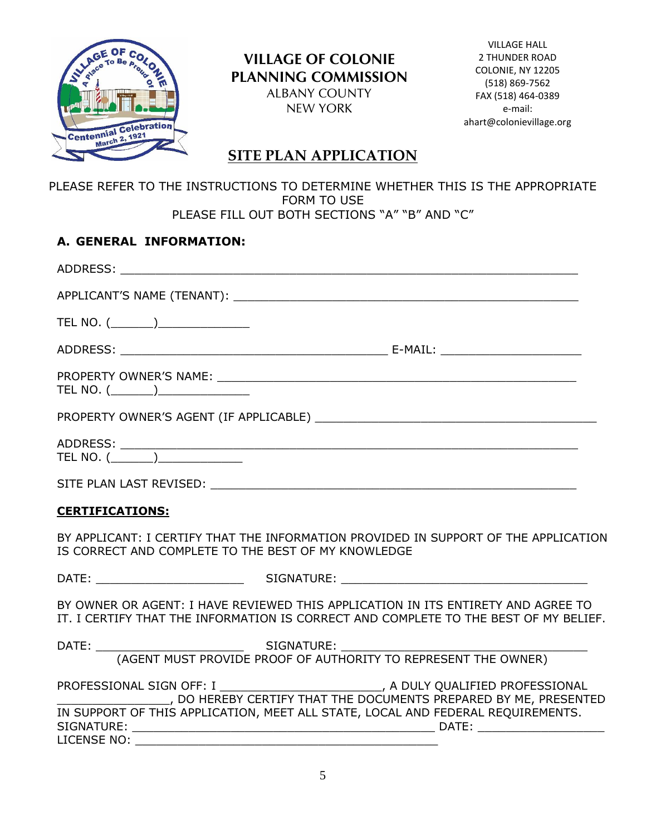

VILLAGE HALL 2 THUNDER ROAD COLONIE, NY 12205 (518) 869-7562 FAX (518) 464-0389 e-mail: ahart@colonievillage.org

# **SITE PLAN APPLICATION**

#### PLEASE REFER TO THE INSTRUCTIONS TO DETERMINE WHETHER THIS IS THE APPROPRIATE FORM TO USE PLEASE FILL OUT BOTH SECTIONS "A" "B" AND "C"

# **A. GENERAL INFORMATION:**

| TEL NO. $(\_\_)$                                    |                                                                                                                                                                          |
|-----------------------------------------------------|--------------------------------------------------------------------------------------------------------------------------------------------------------------------------|
|                                                     |                                                                                                                                                                          |
| TEL NO. $(\_\_\_\_\_)$                              |                                                                                                                                                                          |
|                                                     |                                                                                                                                                                          |
|                                                     |                                                                                                                                                                          |
|                                                     |                                                                                                                                                                          |
| <b>CERTIFICATIONS:</b>                              |                                                                                                                                                                          |
| IS CORRECT AND COMPLETE TO THE BEST OF MY KNOWLEDGE | BY APPLICANT: I CERTIFY THAT THE INFORMATION PROVIDED IN SUPPORT OF THE APPLICATION                                                                                      |
|                                                     |                                                                                                                                                                          |
|                                                     | BY OWNER OR AGENT: I HAVE REVIEWED THIS APPLICATION IN ITS ENTIRETY AND AGREE TO<br>IT. I CERTIFY THAT THE INFORMATION IS CORRECT AND COMPLETE TO THE BEST OF MY BELIEF. |
|                                                     | (AGENT MUST PROVIDE PROOF OF AUTHORITY TO REPRESENT THE OWNER)                                                                                                           |
|                                                     | THE DOCUMENTS PREPARED BY ME, PRESENTED<br>IN SUPPORT OF THIS APPLICATION, MEET ALL STATE, LOCAL AND FEDERAL REQUIREMENTS.                                               |
| LICENSE NO:                                         |                                                                                                                                                                          |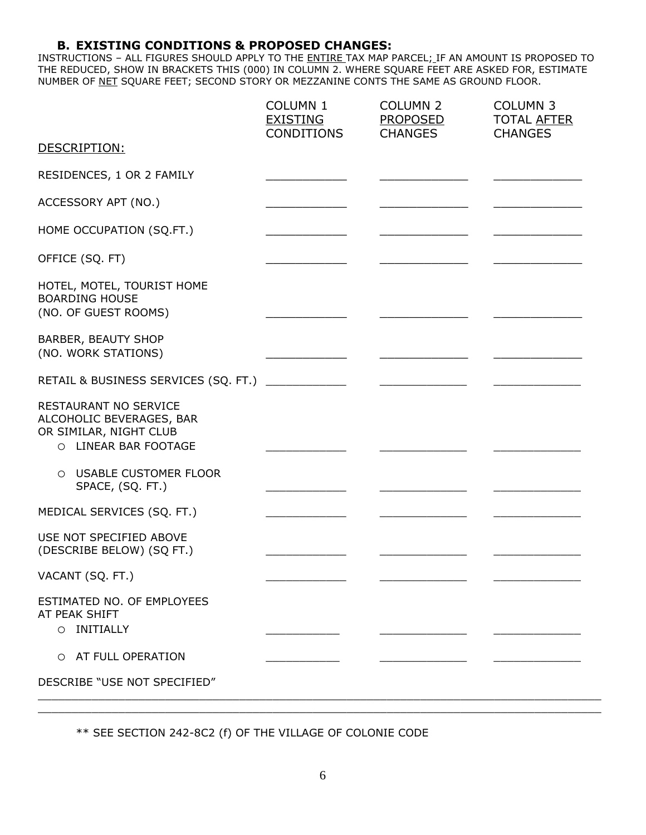#### **B. EXISTING CONDITIONS & PROPOSED CHANGES:**

INSTRUCTIONS – ALL FIGURES SHOULD APPLY TO THE ENTIRE TAX MAP PARCEL; IF AN AMOUNT IS PROPOSED TO THE REDUCED, SHOW IN BRACKETS THIS (000) IN COLUMN 2. WHERE SQUARE FEET ARE ASKED FOR, ESTIMATE NUMBER OF NET SQUARE FEET; SECOND STORY OR MEZZANINE CONTS THE SAME AS GROUND FLOOR.

|                                                                                                     | <b>COLUMN 1</b><br><b>EXISTING</b><br><b>CONDITIONS</b> | <b>COLUMN 2</b><br>PROPOSED<br><b>CHANGES</b> | <b>COLUMN 3</b><br><b>TOTAL AFTER</b><br><b>CHANGES</b> |
|-----------------------------------------------------------------------------------------------------|---------------------------------------------------------|-----------------------------------------------|---------------------------------------------------------|
| DESCRIPTION:                                                                                        |                                                         |                                               |                                                         |
| RESIDENCES, 1 OR 2 FAMILY                                                                           |                                                         |                                               |                                                         |
| ACCESSORY APT (NO.)                                                                                 |                                                         |                                               |                                                         |
| HOME OCCUPATION (SQ.FT.)                                                                            |                                                         |                                               |                                                         |
| OFFICE (SQ. FT)                                                                                     |                                                         |                                               |                                                         |
| HOTEL, MOTEL, TOURIST HOME<br><b>BOARDING HOUSE</b><br>(NO. OF GUEST ROOMS)                         |                                                         |                                               |                                                         |
| BARBER, BEAUTY SHOP<br>(NO. WORK STATIONS)                                                          |                                                         |                                               |                                                         |
| RETAIL & BUSINESS SERVICES (SQ. FT.)                                                                |                                                         |                                               |                                                         |
| RESTAURANT NO SERVICE<br>ALCOHOLIC BEVERAGES, BAR<br>OR SIMILAR, NIGHT CLUB<br>O LINEAR BAR FOOTAGE |                                                         |                                               |                                                         |
| O USABLE CUSTOMER FLOOR<br>SPACE, (SQ. FT.)                                                         |                                                         |                                               |                                                         |
| MEDICAL SERVICES (SQ. FT.)                                                                          |                                                         |                                               |                                                         |
| USE NOT SPECIFIED ABOVE<br>(DESCRIBE BELOW) (SQ FT.)                                                |                                                         |                                               |                                                         |
| VACANT (SQ. FT.)                                                                                    |                                                         |                                               |                                                         |
| ESTIMATED NO. OF EMPLOYEES<br>AT PEAK SHIFT<br>O INITIALLY                                          |                                                         |                                               |                                                         |
| O AT FULL OPERATION                                                                                 |                                                         |                                               |                                                         |
| DESCRIBE "USE NOT SPECIFIED"                                                                        |                                                         |                                               |                                                         |

\*\* SEE SECTION 242-8C2 (f) OF THE VILLAGE OF COLONIE CODE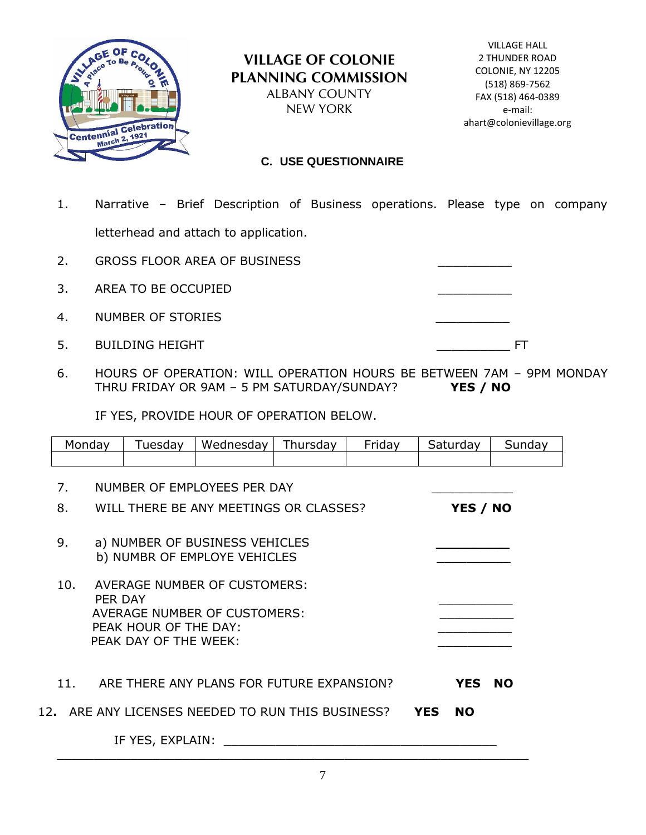

#### **C. USE QUESTIONNAIRE**

- 1. Narrative Brief Description of Business operations. Please type on company letterhead and attach to application.
- 2. GROSS FLOOR AREA OF BUSINESS
- 3. AREA TO BE OCCUPIED
- 4. NUMBER OF STORIES
- 5. BUILDING HEIGHT **EXECUTE IS A RESERVE TO A RESERVE THE SET OF ST**

|  | - |
|--|---|
|  |   |
|  |   |

6. HOURS OF OPERATION: WILL OPERATION HOURS BE BETWEEN 7AM – 9PM MONDAY THRU FRIDAY OR 9AM – 5 PM SATURDAY/SUNDAY? **YES / NO**

IF YES, PROVIDE HOUR OF OPERATION BELOW.

| Monday                            |         | Tuesday                                        | Wednesday                                                                  | Thursday | Friday |            | Saturday   | Sunday    |
|-----------------------------------|---------|------------------------------------------------|----------------------------------------------------------------------------|----------|--------|------------|------------|-----------|
|                                   |         |                                                |                                                                            |          |        |            |            |           |
| NUMBER OF EMPLOYEES PER DAY<br>7. |         |                                                |                                                                            |          |        |            |            |           |
| 8.                                |         |                                                | WILL THERE BE ANY MEETINGS OR CLASSES?                                     |          |        |            | YES / NO   |           |
| 9.                                |         |                                                | a) NUMBER OF BUSINESS VEHICLES<br>b) NUMBR OF EMPLOYE VEHICLES             |          |        |            |            |           |
| 10.                               | PER DAY | PEAK HOUR OF THE DAY:<br>PEAK DAY OF THE WEEK: | <b>AVERAGE NUMBER OF CUSTOMERS:</b><br><b>AVERAGE NUMBER OF CUSTOMERS:</b> |          |        |            |            |           |
| 11.                               |         |                                                | ARE THERE ANY PLANS FOR FUTURE EXPANSION?                                  |          |        |            | <b>YES</b> | <b>NO</b> |
|                                   |         |                                                | 12. ARE ANY LICENSES NEEDED TO RUN THIS BUSINESS?                          |          |        | <b>YES</b> | <b>NO</b>  |           |
|                                   |         | IF YES, EXPLAIN:                               |                                                                            |          |        |            |            |           |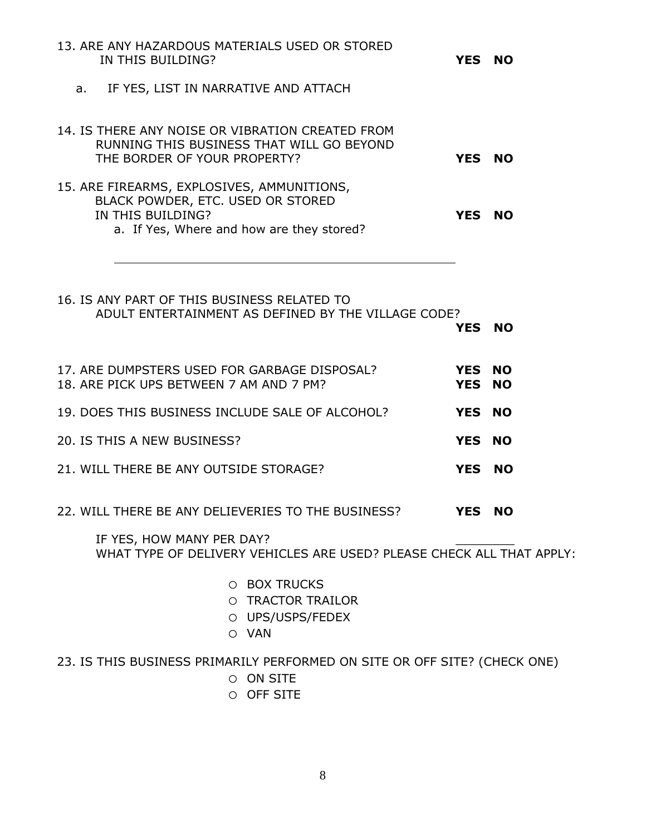| 13. ARE ANY HAZARDOUS MATERIALS USED OR STORED<br>IN THIS BUILDING?                                                                               | YES NO           |  |
|---------------------------------------------------------------------------------------------------------------------------------------------------|------------------|--|
| IF YES, LIST IN NARRATIVE AND ATTACH<br>а. –                                                                                                      |                  |  |
| 14. IS THERE ANY NOISE OR VIBRATION CREATED FROM<br>RUNNING THIS BUSINESS THAT WILL GO BEYOND<br>THE BORDER OF YOUR PROPERTY?                     | YES NO           |  |
| 15. ARE FIREARMS, EXPLOSIVES, AMMUNITIONS,<br>BLACK POWDER, ETC. USED OR STORED<br>IN THIS BUILDING?<br>a. If Yes, Where and how are they stored? | YES NO           |  |
| 16. IS ANY PART OF THIS BUSINESS RELATED TO<br>ADULT ENTERTAINMENT AS DEFINED BY THE VILLAGE CODE?                                                | YES NO           |  |
| 17. ARE DUMPSTERS USED FOR GARBAGE DISPOSAL?<br>18. ARE PICK UPS BETWEEN 7 AM AND 7 PM?                                                           | YES NO<br>YES NO |  |
| 19. DOES THIS BUSINESS INCLUDE SALE OF ALCOHOL?                                                                                                   | YES NO           |  |
| 20. IS THIS A NEW BUSINESS?                                                                                                                       | YES NO           |  |
| 21. WILL THERE BE ANY OUTSIDE STORAGE?                                                                                                            | YES NO           |  |
| 22. WILL THERE BE ANY DELIEVERIES TO THE BUSINESS?                                                                                                | <b>YES NO</b>    |  |
| IF YES, HOW MANY PER DAY?<br>WHAT TYPE OF DELIVERY VEHICLES ARE USED? PLEASE CHECK ALL THAT APPLY:                                                |                  |  |
| O BOX TRUCKS<br>O TRACTOR TRAILOR<br>O UPS/USPS/FEDEX<br>O VAN                                                                                    |                  |  |

23. IS THIS BUSINESS PRIMARILY PERFORMED ON SITE OR OFF SITE? (CHECK ONE)

- o ON SITE
- o OFF SITE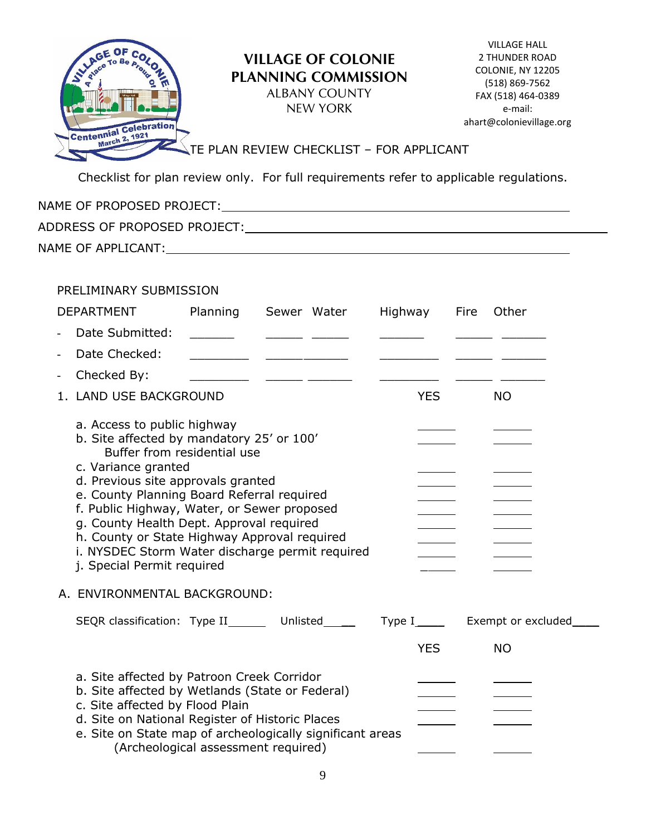

VILLAGE HALL 2 THUNDER ROAD COLONIE, NY 12205 (518) 869-7562 FAX (518) 464-0389 e-mail: ahart@colonievillage.org

## TE PLAN REVIEW CHECKLIST - FOR APPLICANT

Checklist for plan review only. For full requirements refer to applicable regulations.

| NAME OF PROPOSED PROJECT:    |  |
|------------------------------|--|
| ADDRESS OF PROPOSED PROJECT: |  |
| NAME OF APPLICANT:           |  |

### PRELIMINARY SUBMISSION

|                   | <b>DEPARTMENT</b>                                                                                                                                                                                                                                                                                                                                                                                                                              | Planning Sewer Water                |                                              |                                                                                                                       | Highway    | Fire | Other     |
|-------------------|------------------------------------------------------------------------------------------------------------------------------------------------------------------------------------------------------------------------------------------------------------------------------------------------------------------------------------------------------------------------------------------------------------------------------------------------|-------------------------------------|----------------------------------------------|-----------------------------------------------------------------------------------------------------------------------|------------|------|-----------|
| $\overline{a}$    | Date Submitted:                                                                                                                                                                                                                                                                                                                                                                                                                                |                                     |                                              |                                                                                                                       |            |      |           |
| $\equiv$          | Date Checked:                                                                                                                                                                                                                                                                                                                                                                                                                                  |                                     | the control of the control of the control of |                                                                                                                       |            |      |           |
| $\qquad \qquad -$ | Checked By:                                                                                                                                                                                                                                                                                                                                                                                                                                    |                                     |                                              | <u> 1999 - John Harry Harry Harry Harry Harry Harry Harry Harry Harry Harry Harry Harry Harry Harry Harry Harry H</u> |            |      |           |
|                   | 1. LAND USE BACKGROUND                                                                                                                                                                                                                                                                                                                                                                                                                         |                                     |                                              |                                                                                                                       | <b>YES</b> |      | <b>NO</b> |
|                   | a. Access to public highway<br>b. Site affected by mandatory 25' or 100'<br>Buffer from residential use<br>c. Variance granted<br>d. Previous site approvals granted<br>e. County Planning Board Referral required<br>f. Public Highway, Water, or Sewer proposed<br>g. County Health Dept. Approval required<br>h. County or State Highway Approval required<br>i. NYSDEC Storm Water discharge permit required<br>j. Special Permit required |                                     |                                              |                                                                                                                       |            |      |           |
|                   | A. ENVIRONMENTAL BACKGROUND:                                                                                                                                                                                                                                                                                                                                                                                                                   |                                     |                                              |                                                                                                                       |            |      |           |
|                   | SEQR classification: Type II________ Unlisted_______ Type I______ Exempt or excluded_                                                                                                                                                                                                                                                                                                                                                          |                                     |                                              |                                                                                                                       |            |      |           |
|                   |                                                                                                                                                                                                                                                                                                                                                                                                                                                |                                     |                                              |                                                                                                                       | <b>YES</b> |      | <b>NO</b> |
|                   | a. Site affected by Patroon Creek Corridor<br>b. Site affected by Wetlands (State or Federal)<br>c. Site affected by Flood Plain<br>d. Site on National Register of Historic Places<br>e. Site on State map of archeologically significant areas                                                                                                                                                                                               | (Archeological assessment required) |                                              |                                                                                                                       |            |      |           |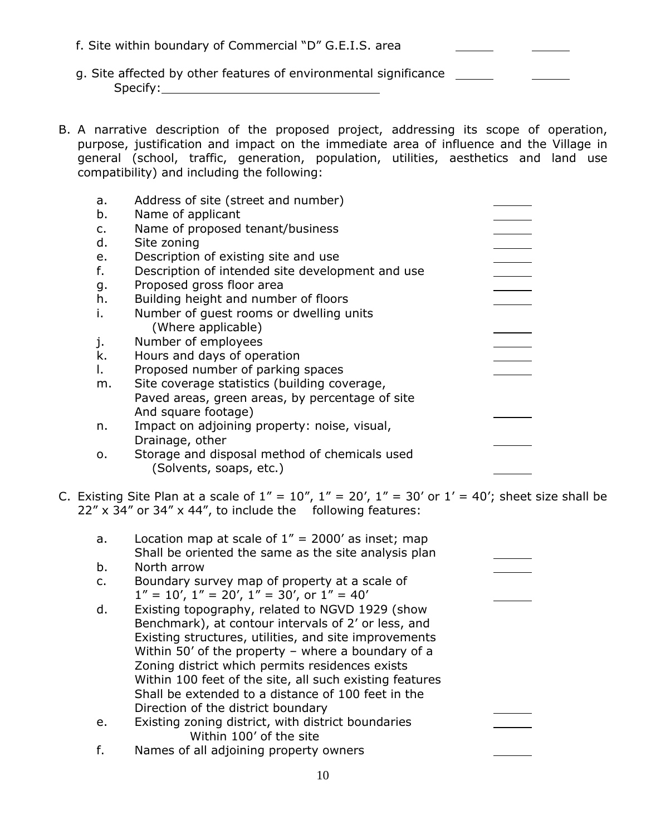- f. Site within boundary of Commercial "D" G.E.I.S. area
- g. Site affected by other features of environmental significance Specify: the state of the state of the state of the state of the state of the state of the state of the state of the state of the state of the state of the state of the state of the state of the state of the state of the s
- B. A narrative description of the proposed project, addressing its scope of operation, purpose, justification and impact on the immediate area of influence and the Village in general (school, traffic, generation, population, utilities, aesthetics and land use compatibility) and including the following:

| b.<br>Name of applicant                                         |  |
|-----------------------------------------------------------------|--|
| Name of proposed tenant/business<br>c.                          |  |
| d.<br>Site zoning                                               |  |
| Description of existing site and use<br>е.                      |  |
| f.<br>Description of intended site development and use          |  |
| Proposed gross floor area<br>g.                                 |  |
| h.<br>Building height and number of floors                      |  |
| i.<br>Number of quest rooms or dwelling units                   |  |
| (Where applicable)                                              |  |
| Number of employees<br>j.                                       |  |
| k.<br>Hours and days of operation                               |  |
| Proposed number of parking spaces<br>Ι.                         |  |
| Site coverage statistics (building coverage,<br>m.              |  |
| Paved areas, green areas, by percentage of site                 |  |
| And square footage)                                             |  |
| Impact on adjoining property: noise, visual,<br>n.              |  |
| Drainage, other                                                 |  |
| Storage and disposal method of chemicals used<br>$\mathsf{o}$ . |  |
| (Solvents, soaps, etc.)                                         |  |

C. Existing Site Plan at a scale of  $1'' = 10''$ ,  $1'' = 20'$ ,  $1'' = 30'$  or  $1' = 40'$ ; sheet size shall be  $22'' \times 34''$  or 34" x 44", to include the following features:

| a. | Location map at scale of $1'' = 2000'$ as inset; map<br>Shall be oriented the same as the site analysis plan |  |
|----|--------------------------------------------------------------------------------------------------------------|--|
| b. | North arrow                                                                                                  |  |
| C. | Boundary survey map of property at a scale of                                                                |  |
|    | $1'' = 10'$ , $1'' = 20'$ , $1'' = 30'$ , or $1'' = 40'$                                                     |  |
| d. | Existing topography, related to NGVD 1929 (show                                                              |  |
|    | Benchmark), at contour intervals of 2' or less, and                                                          |  |
|    | Existing structures, utilities, and site improvements                                                        |  |
|    | Within 50' of the property - where a boundary of a                                                           |  |
|    | Zoning district which permits residences exists                                                              |  |
|    | Within 100 feet of the site, all such existing features                                                      |  |
|    | Shall be extended to a distance of 100 feet in the                                                           |  |
|    | Direction of the district boundary                                                                           |  |
| e. | Existing zoning district, with district boundaries                                                           |  |
|    | Within 100' of the site                                                                                      |  |
| f. | Names of all adjoining property owners                                                                       |  |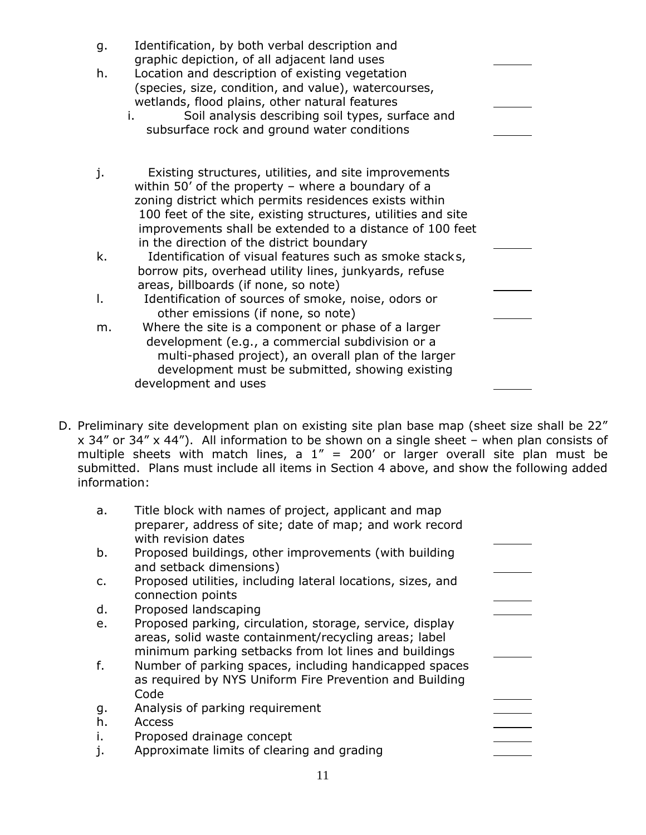| g. | Identification, by both verbal description and<br>graphic depiction, of all adjacent land uses |  |
|----|------------------------------------------------------------------------------------------------|--|
| h. | Location and description of existing vegetation                                                |  |
|    | (species, size, condition, and value), watercourses,                                           |  |
|    | wetlands, flood plains, other natural features                                                 |  |
|    | Soil analysis describing soil types, surface and<br>i.                                         |  |
|    | subsurface rock and ground water conditions                                                    |  |
| j. | Existing structures, utilities, and site improvements                                          |  |
|    | within 50' of the property $-$ where a boundary of a                                           |  |
|    | zoning district which permits residences exists within                                         |  |
|    | 100 feet of the site, existing structures, utilities and site                                  |  |
|    | improvements shall be extended to a distance of 100 feet                                       |  |
|    | in the direction of the district boundary                                                      |  |
| k. | Identification of visual features such as smoke stacks,                                        |  |
|    | borrow pits, overhead utility lines, junkyards, refuse<br>areas, billboards (if none, so note) |  |
| Ι. | Identification of sources of smoke, noise, odors or                                            |  |
|    | other emissions (if none, so note)                                                             |  |
| m. | Where the site is a component or phase of a larger                                             |  |
|    | development (e.g., a commercial subdivision or a                                               |  |
|    | multi-phased project), an overall plan of the larger                                           |  |
|    | development must be submitted, showing existing                                                |  |
|    | development and uses                                                                           |  |

D. Preliminary site development plan on existing site plan base map (sheet size shall be 22" x 34" or 34" x 44"). All information to be shown on a single sheet – when plan consists of multiple sheets with match lines, a  $1'' = 200'$  or larger overall site plan must be submitted. Plans must include all items in Section 4 above, and show the following added information:

| a. | Title block with names of project, applicant and map<br>preparer, address of site; date of map; and work record<br>with revision dates                                     |  |
|----|----------------------------------------------------------------------------------------------------------------------------------------------------------------------------|--|
| b. | Proposed buildings, other improvements (with building<br>and setback dimensions)                                                                                           |  |
| c. | Proposed utilities, including lateral locations, sizes, and<br>connection points                                                                                           |  |
| d. | Proposed landscaping                                                                                                                                                       |  |
| e. | Proposed parking, circulation, storage, service, display<br>areas, solid waste containment/recycling areas; label<br>minimum parking setbacks from lot lines and buildings |  |
| f. | Number of parking spaces, including handicapped spaces<br>as required by NYS Uniform Fire Prevention and Building<br>Code                                                  |  |
| g. | Analysis of parking requirement                                                                                                                                            |  |
| h. | Access                                                                                                                                                                     |  |
| i. | Proposed drainage concept                                                                                                                                                  |  |
| j. | Approximate limits of clearing and grading                                                                                                                                 |  |
|    |                                                                                                                                                                            |  |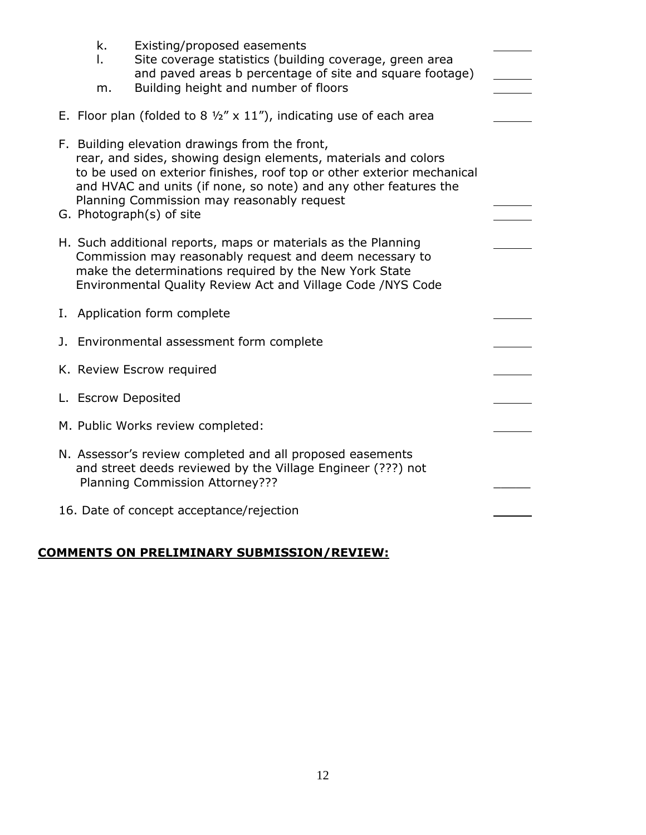| k.<br>I.<br>m.      | Existing/proposed easements<br>Site coverage statistics (building coverage, green area<br>and paved areas b percentage of site and square footage)<br>Building height and number of floors                                                                                                                                               |  |
|---------------------|------------------------------------------------------------------------------------------------------------------------------------------------------------------------------------------------------------------------------------------------------------------------------------------------------------------------------------------|--|
|                     | E. Floor plan (folded to 8 $\frac{1}{2}$ " x 11"), indicating use of each area                                                                                                                                                                                                                                                           |  |
|                     | F. Building elevation drawings from the front,<br>rear, and sides, showing design elements, materials and colors<br>to be used on exterior finishes, roof top or other exterior mechanical<br>and HVAC and units (if none, so note) and any other features the<br>Planning Commission may reasonably request<br>G. Photograph(s) of site |  |
|                     | H. Such additional reports, maps or materials as the Planning<br>Commission may reasonably request and deem necessary to<br>make the determinations required by the New York State<br>Environmental Quality Review Act and Village Code /NYS Code                                                                                        |  |
|                     | I. Application form complete                                                                                                                                                                                                                                                                                                             |  |
|                     | J. Environmental assessment form complete                                                                                                                                                                                                                                                                                                |  |
|                     | K. Review Escrow required                                                                                                                                                                                                                                                                                                                |  |
| L. Escrow Deposited |                                                                                                                                                                                                                                                                                                                                          |  |
|                     | M. Public Works review completed:                                                                                                                                                                                                                                                                                                        |  |
|                     | N. Assessor's review completed and all proposed easements<br>and street deeds reviewed by the Village Engineer (???) not<br>Planning Commission Attorney???                                                                                                                                                                              |  |
|                     | 16. Date of concept acceptance/rejection                                                                                                                                                                                                                                                                                                 |  |

# **COMMENTS ON PRELIMINARY SUBMISSION/REVIEW:**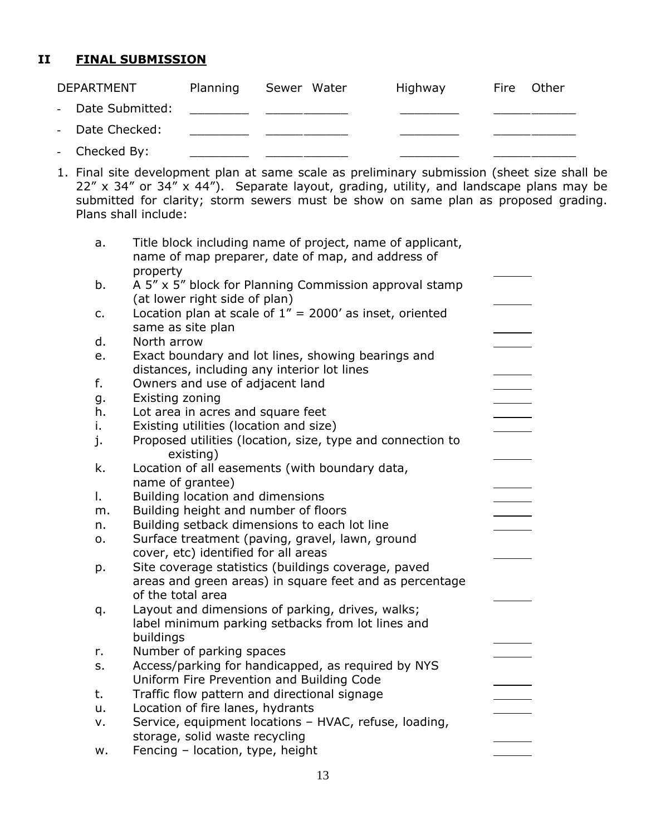# **II FINAL SUBMISSION**

| <b>DEPARTMENT</b> | Planning | Sewer Water | Highway | Fire | Other |
|-------------------|----------|-------------|---------|------|-------|
| - Date Submitted: |          |             |         |      |       |
| - Date Checked:   |          |             |         |      |       |
| - Checked By:     |          |             |         |      |       |

1. Final site development plan at same scale as preliminary submission (sheet size shall be 22" x 34" or 34" x 44"). Separate layout, grading, utility, and landscape plans may be submitted for clarity; storm sewers must be show on same plan as proposed grading. Plans shall include:

| a. | Title block including name of project, name of applicant,<br>name of map preparer, date of map, and address of |  |
|----|----------------------------------------------------------------------------------------------------------------|--|
|    | property                                                                                                       |  |
| b. | A 5" x 5" block for Planning Commission approval stamp<br>(at lower right side of plan)                        |  |
| c. | Location plan at scale of $1'' = 2000'$ as inset, oriented<br>same as site plan                                |  |
| d. | North arrow                                                                                                    |  |
| e. | Exact boundary and lot lines, showing bearings and                                                             |  |
|    | distances, including any interior lot lines                                                                    |  |
| f. | Owners and use of adjacent land                                                                                |  |
| g. | Existing zoning                                                                                                |  |
| h. | Lot area in acres and square feet                                                                              |  |
| ı. | Existing utilities (location and size)                                                                         |  |
| j. | Proposed utilities (location, size, type and connection to<br>existing)                                        |  |
| k. | Location of all easements (with boundary data,                                                                 |  |
|    | name of grantee)                                                                                               |  |
| I. | Building location and dimensions                                                                               |  |
| m. | Building height and number of floors                                                                           |  |
| n. | Building setback dimensions to each lot line                                                                   |  |
| о. | Surface treatment (paving, gravel, lawn, ground                                                                |  |
|    | cover, etc) identified for all areas                                                                           |  |
| p. | Site coverage statistics (buildings coverage, paved                                                            |  |
|    | areas and green areas) in square feet and as percentage<br>of the total area                                   |  |
| q. | Layout and dimensions of parking, drives, walks;                                                               |  |
|    | label minimum parking setbacks from lot lines and                                                              |  |
|    | buildings                                                                                                      |  |
| r. | Number of parking spaces                                                                                       |  |
| s. | Access/parking for handicapped, as required by NYS                                                             |  |
|    | Uniform Fire Prevention and Building Code                                                                      |  |
| t. | Traffic flow pattern and directional signage                                                                   |  |
| u. | Location of fire lanes, hydrants                                                                               |  |
| ٧. | Service, equipment locations - HVAC, refuse, loading,                                                          |  |
|    | storage, solid waste recycling                                                                                 |  |
| w. | Fencing - location, type, height                                                                               |  |
|    |                                                                                                                |  |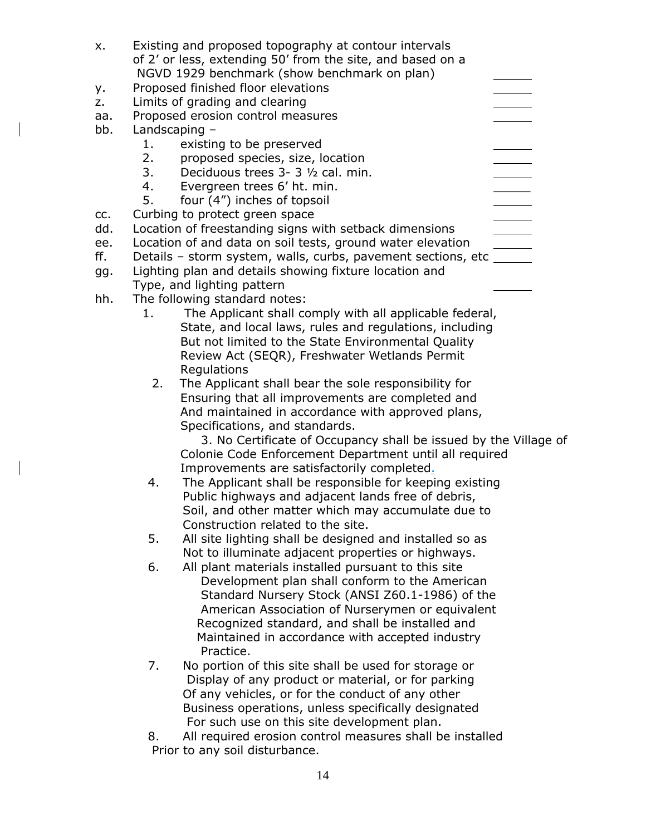| X.  | Existing and proposed topography at contour intervals              |
|-----|--------------------------------------------------------------------|
|     | of 2' or less, extending 50' from the site, and based on a         |
|     | NGVD 1929 benchmark (show benchmark on plan)                       |
| у.  | Proposed finished floor elevations                                 |
| z.  | Limits of grading and clearing                                     |
| aa. | Proposed erosion control measures                                  |
| bb. | Landscaping -                                                      |
|     | 1.<br>existing to be preserved                                     |
|     | proposed species, size, location<br>2.                             |
|     | 3.<br>Deciduous trees 3- 3 1/2 cal. min.                           |
|     | 4.<br>Evergreen trees 6' ht. min.                                  |
|     | 5.<br>four (4") inches of topsoil                                  |
| CC. | Curbing to protect green space                                     |
| dd. | Location of freestanding signs with setback dimensions             |
| ee. | Location of and data on soil tests, ground water elevation         |
| ff. | Details - storm system, walls, curbs, pavement sections, etc _____ |
| gg. | Lighting plan and details showing fixture location and             |
|     | Type, and lighting pattern                                         |
| hh. | The following standard notes:                                      |
|     | The Applicant shall comply with all applicable federal,<br>1.      |
|     | State, and local laws, rules and regulations, including            |
|     | But not limited to the State Environmental Quality                 |
|     | Review Act (SEQR), Freshwater Wetlands Permit                      |
|     | Regulations                                                        |
|     | 2.<br>The Applicant shall bear the sole responsibility for         |
|     | Ensuring that all improvements are completed and                   |
|     | And maintained in accordance with approved plans,                  |
|     | Specifications, and standards.                                     |
|     | 3. No Certificate of Occupancy shall be issued by the Village of   |
|     | Colonie Code Enforcement Department until all required             |
|     | Improvements are satisfactorily completed.                         |
|     | The Applicant shall be responsible for keeping existing<br>4.      |
|     | Public highways and adjacent lands free of debris                  |
|     | Soil, and other matter which may accumulate due to                 |
|     | Construction related to the site.                                  |
|     | 5.<br>All site lighting shall be designed and installed so as      |
|     | Not to illuminate adjacent properties or highways.                 |
|     | All plant materials installed pursuant to this site<br>6.          |
|     | Development plan shall conform to the American                     |
|     | Standard Nursery Stock (ANSI Z60.1-1986) of the                    |
|     | American Association of Nurserymen or equivalent                   |
|     | Recognized standard, and shall be installed and                    |
|     | Maintained in accordance with accepted industry                    |
|     | Practice.                                                          |
|     | No portion of this site shall be used for storage or<br>7.         |
|     | Display of any product or material, or for parking                 |
|     | Of any vehicles, or for the conduct of any other                   |
|     | Business operations, unless specifically designated                |
|     |                                                                    |

For such use on this site development plan. 8. All required erosion control measures shall be installed